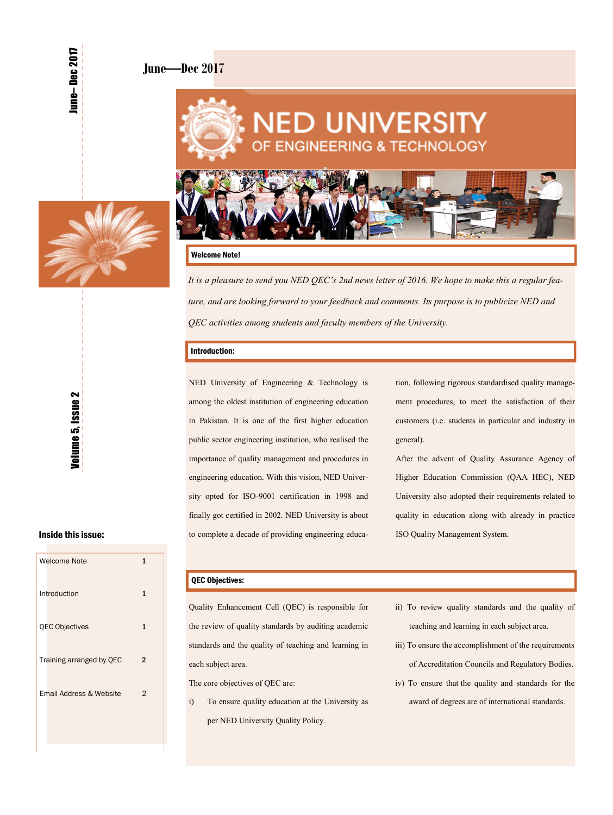### **June—Dec 2017**





#### Welcome Note!

*It is a pleasure to send you NED QEC's 2nd news letter of 2016. We hope to make this a regular feature, and are looking forward to your feedback and comments. Its purpose is to publicize NED and QEC activities among students and faculty members of the University.* 

#### Introduction:

NED University of Engineering & Technology is among the oldest institution of engineering education in Pakistan. It is one of the first higher education public sector engineering institution, who realised the importance of quality management and procedures in engineering education. With this vision, NED University opted for ISO-9001 certification in 1998 and finally got certified in 2002. NED University is about to complete a decade of providing engineering education, following rigorous standardised quality management procedures, to meet the satisfaction of their customers (i.e. students in particular and industry in general).

After the advent of Quality Assurance Agency of Higher Education Commission (QAA HEC), NED University also adopted their requirements related to quality in education along with already in practice ISO Quality Management System.

### Inside this issue:

| <b>Welcome Note</b>      | 1 |
|--------------------------|---|
| Introduction             | 1 |
| <b>QEC Objectives</b>    | 1 |
| Training arranged by QEC | 2 |
| Email Address & Website  | 2 |
|                          |   |

### QEC Objectives:

Quality Enhancement Cell (QEC) is responsible for the review of quality standards by auditing academic standards and the quality of teaching and learning in each subject area.

The core objectives of QEC are:

- i) To ensure quality education at the University as per NED University Quality Policy.
- ii) To review quality standards and the quality of teaching and learning in each subject area.
- iii) To ensure the accomplishment of the requirements of Accreditation Councils and Regulatory Bodies.
- iv) To ensure that the quality and standards for the award of degrees are of international standards.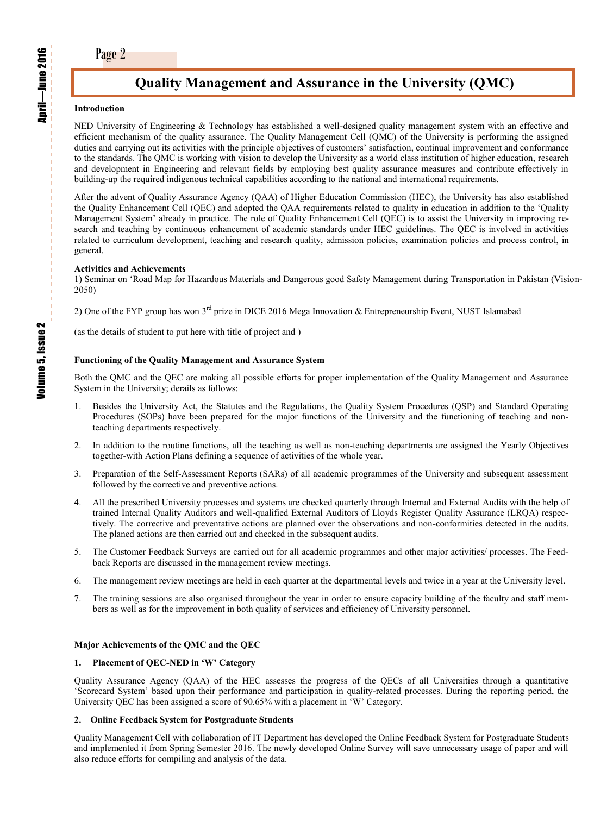## **Quality Management and Assurance in the University (QMC)**

#### **Introduction**

NED University of Engineering & Technology has established a well-designed quality management system with an effective and efficient mechanism of the quality assurance. The Quality Management Cell (QMC) of the University is performing the assigned duties and carrying out its activities with the principle objectives of customers' satisfaction, continual improvement and conformance to the standards. The QMC is working with vision to develop the University as a world class institution of higher education, research and development in Engineering and relevant fields by employing best quality assurance measures and contribute effectively in building-up the required indigenous technical capabilities according to the national and international requirements.

After the advent of Quality Assurance Agency (QAA) of Higher Education Commission (HEC), the University has also established the Quality Enhancement Cell (QEC) and adopted the QAA requirements related to quality in education in addition to the 'Quality Management System' already in practice. The role of Quality Enhancement Cell (QEC) is to assist the University in improving research and teaching by continuous enhancement of academic standards under HEC guidelines. The QEC is involved in activities related to curriculum development, teaching and research quality, admission policies, examination policies and process control, in general.

#### **Activities and Achievements**

1) Seminar on 'Road Map for Hazardous Materials and Dangerous good Safety Management during Transportation in Pakistan (Vision-2050)

2) One of the FYP group has won  $3^{rd}$  prize in DICE 2016 Mega Innovation & Entrepreneurship Event, NUST Islamabad

(as the details of student to put here with title of project and )

#### **Functioning of the Quality Management and Assurance System**

Both the QMC and the QEC are making all possible efforts for proper implementation of the Quality Management and Assurance System in the University; derails as follows:

- 1. Besides the University Act, the Statutes and the Regulations, the Quality System Procedures (QSP) and Standard Operating Procedures (SOPs) have been prepared for the major functions of the University and the functioning of teaching and nonteaching departments respectively.
- 2. In addition to the routine functions, all the teaching as well as non-teaching departments are assigned the Yearly Objectives together-with Action Plans defining a sequence of activities of the whole year.
- 3. Preparation of the Self-Assessment Reports (SARs) of all academic programmes of the University and subsequent assessment followed by the corrective and preventive actions.
- 4. All the prescribed University processes and systems are checked quarterly through Internal and External Audits with the help of trained Internal Quality Auditors and well-qualified External Auditors of Lloyds Register Quality Assurance (LRQA) respectively. The corrective and preventative actions are planned over the observations and non-conformities detected in the audits. The planed actions are then carried out and checked in the subsequent audits.
- 5. The Customer Feedback Surveys are carried out for all academic programmes and other major activities/ processes. The Feedback Reports are discussed in the management review meetings.
- 6. The management review meetings are held in each quarter at the departmental levels and twice in a year at the University level.
- 7. The training sessions are also organised throughout the year in order to ensure capacity building of the faculty and staff members as well as for the improvement in both quality of services and efficiency of University personnel.

#### **Major Achievements of the QMC and the QEC**

#### **1. Placement of QEC-NED in 'W' Category**

Quality Assurance Agency (QAA) of the HEC assesses the progress of the QECs of all Universities through a quantitative 'Scorecard System' based upon their performance and participation in quality-related processes. During the reporting period, the University QEC has been assigned a score of 90.65% with a placement in 'W' Category.

#### **2. Online Feedback System for Postgraduate Students**

Quality Management Cell with collaboration of IT Department has developed the Online Feedback System for Postgraduate Students and implemented it from Spring Semester 2016. The newly developed Online Survey will save unnecessary usage of paper and will also reduce efforts for compiling and analysis of the data.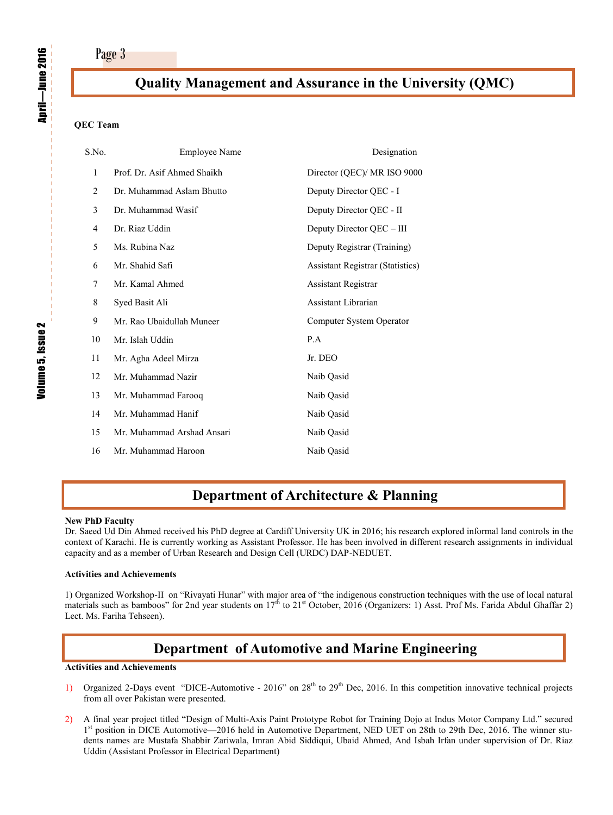### **Quality Management and Assurance in the University (QMC)**

### **QEC Team**

| <b>Employee Name</b>        | Designation                             |
|-----------------------------|-----------------------------------------|
| Prof. Dr. Asif Ahmed Shaikh | Director (QEC)/ MR ISO 9000             |
| Dr. Muhammad Aslam Bhutto   | Deputy Director QEC - I                 |
| Dr. Muhammad Wasif          | Deputy Director QEC - II                |
| Dr. Riaz Uddin              | Deputy Director QEC – III               |
| Ms. Rubina Naz              | Deputy Registrar (Training)             |
| Mr. Shahid Safi             | <b>Assistant Registrar (Statistics)</b> |
| Mr. Kamal Ahmed             | <b>Assistant Registrar</b>              |
| Syed Basit Ali              | Assistant Librarian                     |
| Mr. Rao Ubaidullah Muneer   | Computer System Operator                |
| Mr. Islah Uddin             | P.A                                     |
| Mr. Agha Adeel Mirza        | Jr. DEO                                 |
| Mr. Muhammad Nazir          | Naib Qasid                              |
| Mr. Muhammad Farooq         | Naib Qasid                              |
| Mr. Muhammad Hanif          | Naib Qasid                              |
| Mr. Muhammad Arshad Ansari  | Naib Qasid                              |
| Mr. Muhammad Haroon         | Naib Oasid                              |
|                             |                                         |

## **Department of Architecture & Planning**

#### **New PhD Faculty**

Dr. Saeed Ud Din Ahmed received his PhD degree at Cardiff University UK in 2016; his research explored informal land controls in the context of Karachi. He is currently working as Assistant Professor. He has been involved in different research assignments in individual capacity and as a member of Urban Research and Design Cell (URDC) DAP-NEDUET.

### **Activities and Achievements**

1) Organized Workshop-II on "Rivayati Hunar" with major area of "the indigenous construction techniques with the use of local natural materials such as bamboos" for 2nd year students on  $17<sup>th</sup>$  to  $21<sup>st</sup>$  October, 2016 (Organizers: 1) Asst. Prof Ms. Farida Abdul Ghaffar 2) Lect. Ms. Fariha Tehseen).

### **Department of Automotive and Marine Engineering**

#### **Activities and Achievements**

- 1) Organized 2-Days event "DICE-Automotive 2016" on  $28<sup>th</sup>$  to  $29<sup>th</sup>$  Dec, 2016. In this competition innovative technical projects from all over Pakistan were presented.
- 2) A final year project titled "Design of Multi-Axis Paint Prototype Robot for Training Dojo at Indus Motor Company Ltd." secured 1<sup>st</sup> position in DICE Automotive—2016 held in Automotive Department, NED UET on 28th to 29th Dec, 2016. The winner students names are Mustafa Shabbir Zariwala, Imran Abid Siddiqui, Ubaid Ahmed, And Isbah Irfan under supervision of Dr. Riaz Uddin (Assistant Professor in Electrical Department)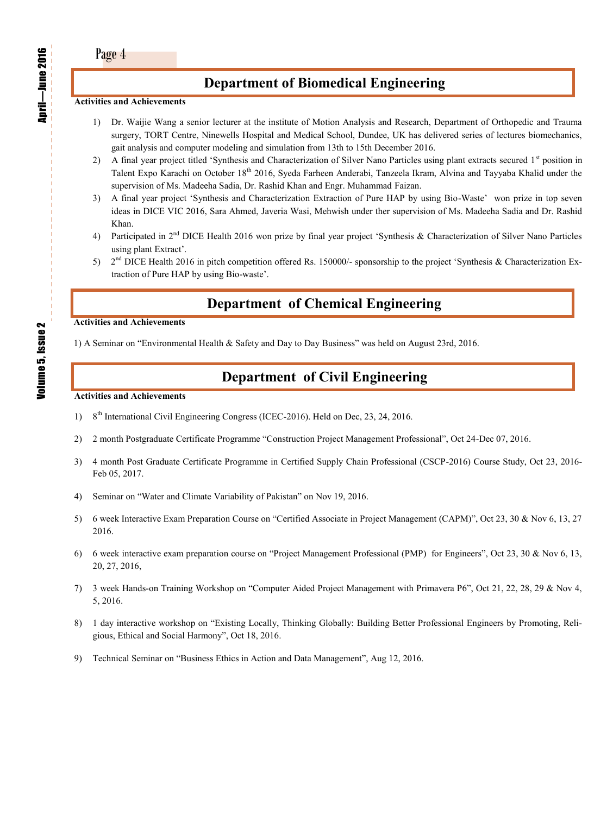## **Department of Biomedical Engineering**

#### **Activities and Achievements**

- 1) Dr. Waijie Wang a senior lecturer at the institute of Motion Analysis and Research, Department of Orthopedic and Trauma surgery, TORT Centre, Ninewells Hospital and Medical School, Dundee, UK has delivered series of lectures biomechanics, gait analysis and computer modeling and simulation from 13th to 15th December 2016.
- 2) A final year project titled 'Synthesis and Characterization of Silver Nano Particles using plant extracts secured  $1<sup>st</sup>$  position in Talent Expo Karachi on October 18<sup>th</sup> 2016, Syeda Farheen Anderabi, Tanzeela Ikram, Alvina and Tayyaba Khalid under the supervision of Ms. Madeeha Sadia, Dr. Rashid Khan and Engr. Muhammad Faizan.
- 3) A final year project 'Synthesis and Characterization Extraction of Pure HAP by using Bio-Waste' won prize in top seven ideas in DICE VIC 2016, Sara Ahmed, Javeria Wasi, Mehwish under ther supervision of Ms. Madeeha Sadia and Dr. Rashid Khan.
- 4) Participated in 2<sup>nd</sup> DICE Health 2016 won prize by final year project 'Synthesis & Characterization of Silver Nano Particles using plant Extract'.
- 5)  $2<sup>nd</sup> DICE Health 2016 in pitch competition offered Rs. 150000/- sponsorship to the project 'Synthesis & Characterization Ex$ traction of Pure HAP by using Bio-waste'.

## **Department of Chemical Engineering**

#### **Activities and Achievements**

1) A Seminar on "Environmental Health & Safety and Day to Day Business" was held on August 23rd, 2016.

## **Department of Civil Engineering**

#### **Activities and Achievements**

- 1) 8<sup>th</sup> International Civil Engineering Congress (ICEC-2016). Held on Dec, 23, 24, 2016.
- 2) 2 month Postgraduate Certificate Programme "Construction Project Management Professional", Oct 24-Dec 07, 2016.
- 3) 4 month Post Graduate Certificate Programme in Certified Supply Chain Professional (CSCP-2016) Course Study, Oct 23, 2016- Feb 05, 2017.
- 4) Seminar on "Water and Climate Variability of Pakistan" on Nov 19, 2016.
- 5) 6 week Interactive Exam Preparation Course on "Certified Associate in Project Management (CAPM)", Oct 23, 30 & Nov 6, 13, 27 2016.
- 6) 6 week interactive exam preparation course on "Project Management Professional (PMP) for Engineers", Oct 23, 30 & Nov 6, 13, 20, 27, 2016,
- 7) 3 week Hands-on Training Workshop on "Computer Aided Project Management with Primavera P6", Oct 21, 22, 28, 29 & Nov 4, 5, 2016.
- 8) 1 day interactive workshop on "Existing Locally, Thinking Globally: Building Better Professional Engineers by Promoting, Religious, Ethical and Social Harmony", Oct 18, 2016.
- 9) Technical Seminar on "Business Ethics in Action and Data Management", Aug 12, 2016.

April

—June 2016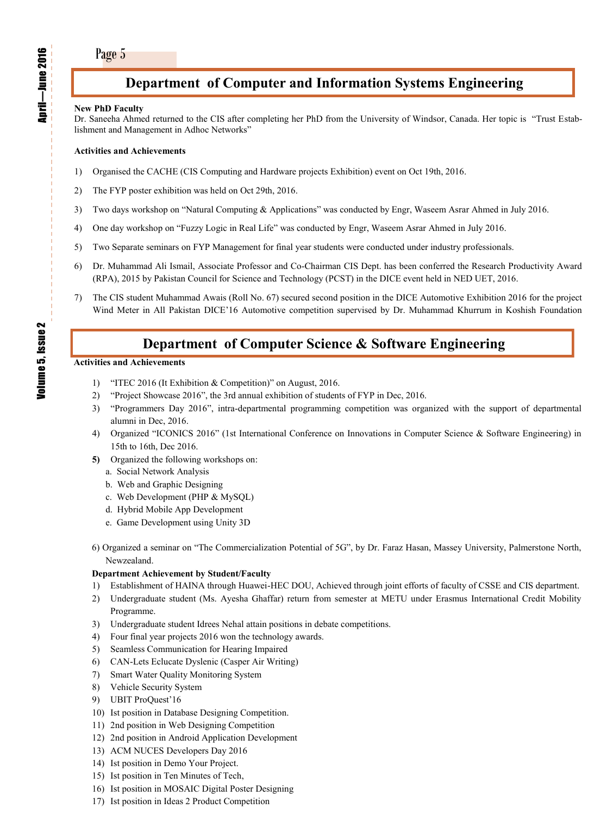## **Department of Computer and Information Systems Engineering**

#### **New PhD Faculty**

Dr. Saneeha Ahmed returned to the CIS after completing her PhD from the University of Windsor, Canada. Her topic is "Trust Establishment and Management in Adhoc Networks"

### **Activities and Achievements**

- 1) Organised the CACHE (CIS Computing and Hardware projects Exhibition) event on Oct 19th, 2016.
- 2) The FYP poster exhibition was held on Oct 29th, 2016.
- 3) Two days workshop on "Natural Computing & Applications" was conducted by Engr, Waseem Asrar Ahmed in July 2016.
- 4) One day workshop on "Fuzzy Logic in Real Life" was conducted by Engr, Waseem Asrar Ahmed in July 2016.
- 5) Two Separate seminars on FYP Management for final year students were conducted under industry professionals.
- 6) Dr. Muhammad Ali Ismail, Associate Professor and Co-Chairman CIS Dept. has been conferred the Research Productivity Award (RPA), 2015 by Pakistan Council for Science and Technology (PCST) in the DICE event held in NED UET, 2016.
- 7) The CIS student Muhammad Awais (Roll No. 67) secured second position in the DICE Automotive Exhibition 2016 for the project Wind Meter in All Pakistan DICE'16 Automotive competition supervised by Dr. Muhammad Khurrum in Koshish Foundation

## **Department of Computer Science & Software Engineering**

#### **Activities and Achievements**

- 1) "ITEC 2016 (It Exhibition & Competition)" on August, 2016.
- 2) "Project Showcase 2016", the 3rd annual exhibition of students of FYP in Dec, 2016.
- 3) "Programmers Day 2016", intra-departmental programming competition was organized with the support of departmental alumni in Dec, 2016.
- 4) Organized "ICONICS 2016" (1st International Conference on Innovations in Computer Science & Software Engineering) in 15th to 16th, Dec 2016.
- **5)** Organized the following workshops on:
	- a.Social Network Analysis
	- b. Web and Graphic Designing
	- c. Web Development (PHP & MySQL)
	- d. Hybrid Mobile App Development
	- e. Game Development using Unity 3D
- 6) Organized a seminar on "The Commercialization Potential of 5G", by Dr. Faraz Hasan, Massey University, Palmerstone North, Newzealand.

### **Department Achievement by Student/Faculty**

- 1) Establishment of HAINA through Huawei-HEC DOU, Achieved through joint efforts of faculty of CSSE and CIS department.
- 2) Undergraduate student (Ms. Ayesha Ghaffar) return from semester at METU under Erasmus International Credit Mobility Programme.
- 3) Undergraduate student Idrees Nehal attain positions in debate competitions.
- 4) Four final year projects 2016 won the technology awards.
- 5) Seamless Communication for Hearing Impaired
- 6) CAN-Lets Eclucate Dyslenic (Casper Air Writing)
- 7) Smart Water Quality Monitoring System
- 8) Vehicle Security System
- 9) UBIT ProQuest'16
- 10) Ist position in Database Designing Competition.
- 11) 2nd position in Web Designing Competition
- 12) 2nd position in Android Application Development
- 13) ACM NUCES Developers Day 2016
- 14) Ist position in Demo Your Project.
- 15) Ist position in Ten Minutes of Tech,
- 16) Ist position in MOSAIC Digital Poster Designing
- 17) Ist position in Ideas 2 Product Competition

April —June 2016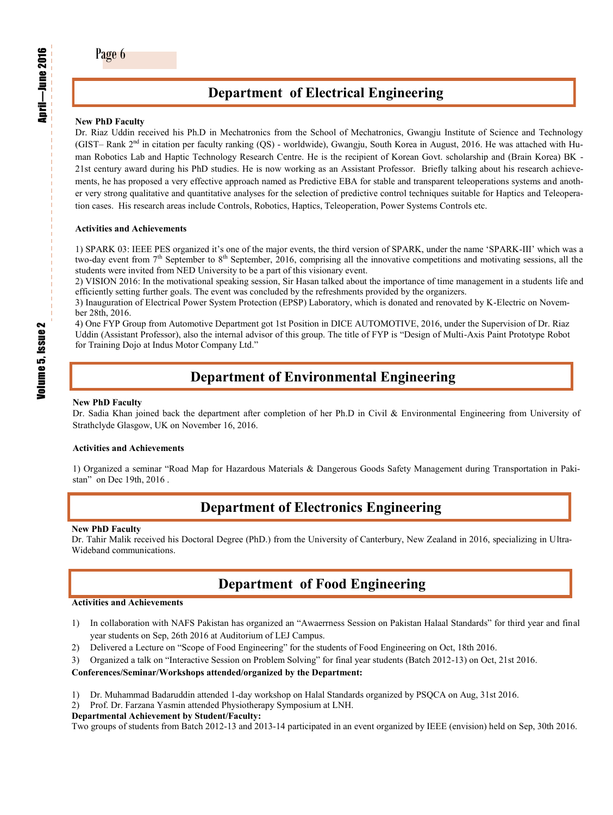## **Department of Electrical Engineering**

### **New PhD Faculty**

Dr. Riaz Uddin received his Ph.D in Mechatronics from the School of Mechatronics, Gwangju Institute of Science and Technology (GIST– Rank 2nd in citation per faculty ranking (QS) - worldwide), Gwangju, South Korea in August, 2016. He was attached with Human Robotics Lab and Haptic Technology Research Centre. He is the recipient of Korean Govt. scholarship and (Brain Korea) BK - 21st century award during his PhD studies. He is now working as an Assistant Professor. Briefly talking about his research achievements, he has proposed a very effective approach named as Predictive EBA for stable and transparent teleoperations systems and another very strong qualitative and quantitative analyses for the selection of predictive control techniques suitable for Haptics and Teleoperation cases. His research areas include Controls, Robotics, Haptics, Teleoperation, Power Systems Controls etc.

#### **Activities and Achievements**

1) SPARK 03: IEEE PES organized it's one of the major events, the third version of SPARK, under the name 'SPARK-III' which was a two-day event from  $7<sup>th</sup>$  September to 8<sup>th</sup> September, 2016, comprising all the innovative competitions and motivating sessions, all the students were invited from NED University to be a part of this visionary event.

2) VISION 2016: In the motivational speaking session, Sir Hasan talked about the importance of time management in a students life and efficiently setting further goals. The event was concluded by the refreshments provided by the organizers.

3) Inauguration of Electrical Power System Protection (EPSP) Laboratory, which is donated and renovated by K-Electric on November 28th, 2016.

4) One FYP Group from Automotive Department got 1st Position in DICE AUTOMOTIVE, 2016, under the Supervision of Dr. Riaz Uddin (Assistant Professor), also the internal advisor of this group. The title of FYP is "Design of Multi-Axis Paint Prototype Robot for Training Dojo at Indus Motor Company Ltd."

## **Department of Environmental Engineering**

#### **New PhD Faculty**

Dr. Sadia Khan joined back the department after completion of her Ph.D in Civil & Environmental Engineering from University of Strathclyde Glasgow, UK on November 16, 2016.

#### **Activities and Achievements**

1) Organized a seminar "Road Map for Hazardous Materials & Dangerous Goods Safety Management during Transportation in Pakistan" on Dec 19th, 2016 .

## **Department of Electronics Engineering**

#### **New PhD Faculty**

Dr. Tahir Malik received his Doctoral Degree (PhD.) from the University of Canterbury, New Zealand in 2016, specializing in Ultra-Wideband communications.

### **Department of Food Engineering**

#### **Activities and Achievements**

- 1) In collaboration with NAFS Pakistan has organized an "Awaerrness Session on Pakistan Halaal Standards" for third year and final year students on Sep, 26th 2016 at Auditorium of LEJ Campus.
- 2) Delivered a Lecture on "Scope of Food Engineering" for the students of Food Engineering on Oct, 18th 2016.
- 3) Organized a talk on "Interactive Session on Problem Solving" for final year students (Batch 2012-13) on Oct, 21st 2016.

#### **Conferences/Seminar/Workshops attended/organized by the Department:**

- 1) Dr. Muhammad Badaruddin attended 1-day workshop on Halal Standards organized by PSQCA on Aug, 31st 2016.
- 2) Prof. Dr. Farzana Yasmin attended Physiotherapy Symposium at LNH.

#### **Departmental Achievement by Student/Faculty:**

Two groups of students from Batch 2012-13 and 2013-14 participated in an event organized by IEEE (envision) held on Sep, 30th 2016.

Volume 5, Issue 2

**Volume 5, Issue 2** 

April

—June 2016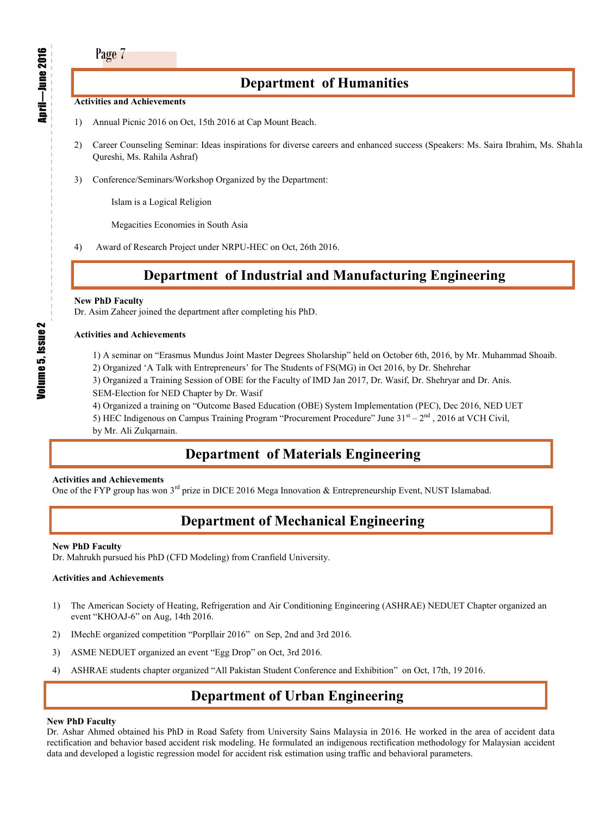### **Department of Humanities**

#### **Activities and Achievements**

- 1) Annual Picnic 2016 on Oct, 15th 2016 at Cap Mount Beach.
- 2) Career Counseling Seminar: Ideas inspirations for diverse careers and enhanced success (Speakers: Ms. Saira Ibrahim, Ms. Shahla Qureshi, Ms. Rahila Ashraf)
- 3) Conference/Seminars/Workshop Organized by the Department:

Islam is a Logical Religion

Megacities Economies in South Asia

4) Award of Research Project under NRPU-HEC on Oct, 26th 2016.

## **Department of Industrial and Manufacturing Engineering**

#### **New PhD Faculty**

Dr. Asim Zaheer joined the department after completing his PhD.

#### **Activities and Achievements**

- 1) A seminar on "Erasmus Mundus Joint Master Degrees Sholarship" held on October 6th, 2016, by Mr. Muhammad Shoaib.
- 2) Organized 'A Talk with Entrepreneurs' for The Students of FS(MG) in Oct 2016, by Dr. Shehrehar
- 3) Organized a Training Session of OBE for the Faculty of IMD Jan 2017, Dr. Wasif, Dr. Shehryar and Dr. Anis.
- SEM-Election for NED Chapter by Dr. Wasif
- 4) Organized a training on "Outcome Based Education (OBE) System Implementation (PEC), Dec 2016, NED UET
- 5) HEC Indigenous on Campus Training Program "Procurement Procedure" June  $31<sup>st</sup> 2<sup>nd</sup>$ , 2016 at VCH Civil,
- by Mr. Ali Zulqarnain.

## **Department of Materials Engineering**

#### **Activities and Achievements**

One of the FYP group has won  $3^{rd}$  prize in DICE 2016 Mega Innovation & Entrepreneurship Event, NUST Islamabad.

## **Department of Mechanical Engineering**

#### **New PhD Faculty**

Dr. Mahrukh pursued his PhD (CFD Modeling) from Cranfield University.

### **Activities and Achievements**

- 1) The American Society of Heating, Refrigeration and Air Conditioning Engineering (ASHRAE) NEDUET Chapter organized an event "KHOAJ-6" on Aug, 14th 2016.
- 2) IMechE organized competition "Porpllair 2016" on Sep, 2nd and 3rd 2016.
- 3) ASME NEDUET organized an event "Egg Drop" on Oct, 3rd 2016.
- 4) ASHRAE students chapter organized "All Pakistan Student Conference and Exhibition" on Oct, 17th, 19 2016.

## **Department of Urban Engineering**

### **New PhD Faculty**

Dr. Ashar Ahmed obtained his PhD in Road Safety from University Sains Malaysia in 2016. He worked in the area of accident data rectification and behavior based accident risk modeling. He formulated an indigenous rectification methodology for Malaysian accident data and developed a logistic regression model for accident risk estimation using traffic and behavioral parameters.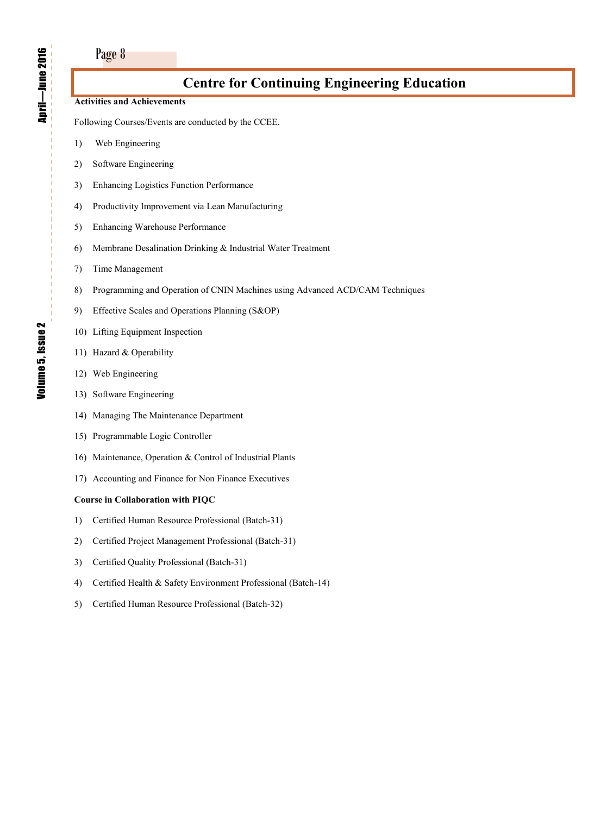### **Activities and Achievements**

Following Courses/Events are conducted by the CCEE.

- 1) Web Engineering
- 2) Software Engineering
- 3) Enhancing Logistics Function Performance
- 4) Productivity Improvement via Lean Manufacturing
- 5) Enhancing Warehouse Performance
- 6) Membrane Desalination Drinking & Industrial Water Treatment
- 7) Time Management
- 8) Programming and Operation of CNIN Machines using Advanced ACD/CAM Techniques
- 9) Effective Scales and Operations Planning (S&OP)
- 10) Lifting Equipment Inspection
- 11) Hazard & Operability
- 12) Web Engineering
- 13) Software Engineering
- 14) Managing The Maintenance Department
- 15) Programmable Logic Controller
- 16) Maintenance, Operation & Control of Industrial Plants
- 17) Accounting and Finance for Non Finance Executives

#### **Course in Collaboration with PIQC**

- 1) Certified Human Resource Professional (Batch-31)
- 2) Certified Project Management Professional (Batch-31)
- 3) Certified Quality Professional (Batch-31)
- 4) Certified Health & Safety Environment Professional (Batch-14)
- 5) Certified Human Resource Professional (Batch-32)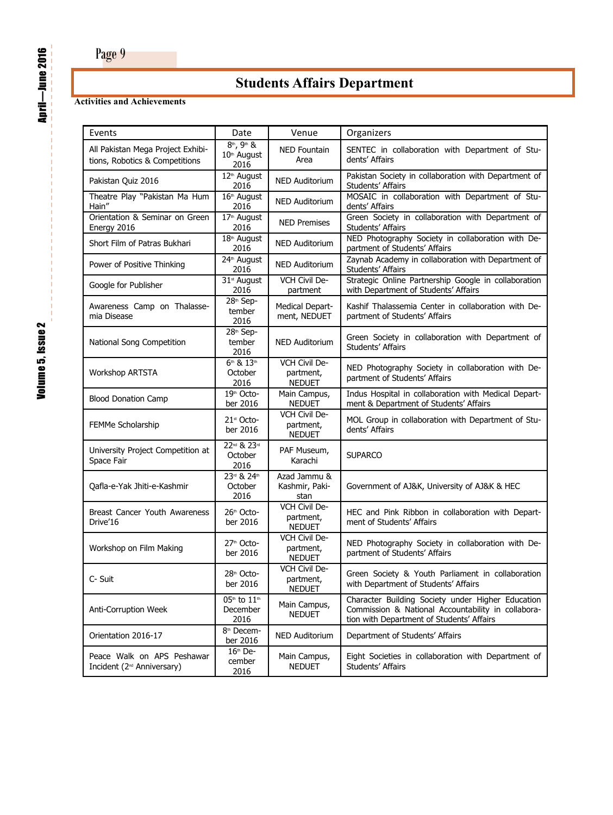# **Students Affairs Department**

### **Activities and Achievements**

| Events                                                               | Date                                           | Venue                                       | Organizers                                                                                                                                           |
|----------------------------------------------------------------------|------------------------------------------------|---------------------------------------------|------------------------------------------------------------------------------------------------------------------------------------------------------|
| All Pakistan Mega Project Exhibi-<br>tions, Robotics & Competitions  | 8 <sup>th</sup> , 9th &<br>10th August<br>2016 | <b>NED Fountain</b><br>Area                 | SENTEC in collaboration with Department of Stu-<br>dents' Affairs                                                                                    |
| Pakistan Quiz 2016                                                   | 12 <sup>th</sup> August<br>2016                | <b>NED Auditorium</b>                       | Pakistan Society in collaboration with Department of<br>Students' Affairs                                                                            |
| Theatre Play "Pakistan Ma Hum<br>Hain"                               | $16th$ August<br>2016                          | <b>NED Auditorium</b>                       | MOSAIC in collaboration with Department of Stu-<br>dents' Affairs                                                                                    |
| Orientation & Seminar on Green<br>Energy 2016                        | 17 <sup>th</sup> August<br>2016                | <b>NED Premises</b>                         | Green Society in collaboration with Department of<br>Students' Affairs                                                                               |
| Short Film of Patras Bukhari                                         | $18th$ August<br>2016                          | <b>NED Auditorium</b>                       | NED Photography Society in collaboration with De-<br>partment of Students' Affairs                                                                   |
| Power of Positive Thinking                                           | 24 <sup>th</sup> August<br>2016                | <b>NED Auditorium</b>                       | Zaynab Academy in collaboration with Department of<br>Students' Affairs                                                                              |
| Google for Publisher                                                 | 31 <sup>st</sup> August<br>2016                | VCH Civil De-<br>partment                   | Strategic Online Partnership Google in collaboration<br>with Department of Students' Affairs                                                         |
| Awareness Camp on Thalasse-<br>mia Disease                           | 28th Sep-<br>tember<br>2016                    | Medical Depart-<br>ment, NEDUET             | Kashif Thalassemia Center in collaboration with De-<br>partment of Students' Affairs                                                                 |
| National Song Competition                                            | 28th Sep-<br>tember<br>2016                    | <b>NED Auditorium</b>                       | Green Society in collaboration with Department of<br>Students' Affairs                                                                               |
| <b>Workshop ARTSTA</b>                                               | 6th & 13th<br>October<br>2016                  | VCH Civil De-<br>partment,<br><b>NEDUET</b> | NED Photography Society in collaboration with De-<br>partment of Students' Affairs                                                                   |
| <b>Blood Donation Camp</b>                                           | 19th Octo-<br>ber 2016                         | Main Campus,<br><b>NEDUET</b>               | Indus Hospital in collaboration with Medical Depart-<br>ment & Department of Students' Affairs                                                       |
| FEMMe Scholarship                                                    | 21st Octo-<br>ber 2016                         | VCH Civil De-<br>partment,<br><b>NEDUET</b> | MOL Group in collaboration with Department of Stu-<br>dents' Affairs                                                                                 |
| University Project Competition at<br>Space Fair                      | 22nd & 23rd<br>October<br>2016                 | PAF Museum,<br>Karachi                      | <b>SUPARCO</b>                                                                                                                                       |
| Qafla-e-Yak Jhiti-e-Kashmir                                          | 23rd & 24th<br>October<br>2016                 | Azad Jammu &<br>Kashmir, Paki-<br>stan      | Government of AJ&K, University of AJ&K & HEC                                                                                                         |
| Breast Cancer Youth Awareness<br>Drive'16                            | 26 <sup>th</sup> Octo-<br>ber 2016             | VCH Civil De-<br>partment,<br><b>NEDUET</b> | HEC and Pink Ribbon in collaboration with Depart-<br>ment of Students' Affairs                                                                       |
| Workshop on Film Making                                              | 27 <sup>th</sup> Octo-<br>ber 2016             | VCH Civil De-<br>partment,<br><b>NEDUET</b> | NED Photography Society in collaboration with De-<br>partment of Students' Affairs                                                                   |
| C- Suit                                                              | 28 <sup>th</sup> Octo-<br>ber 2016             | VCH Civil De-<br>partment,<br><b>NEDUET</b> | Green Society & Youth Parliament in collaboration<br>with Department of Students' Affairs                                                            |
| Anti-Corruption Week                                                 | 05th to 11th<br>December<br>2016               | Main Campus,<br><b>NEDUET</b>               | Character Building Society under Higher Education<br>Commission & National Accountability in collabora-<br>tion with Department of Students' Affairs |
| Orientation 2016-17                                                  | 8 <sup>th</sup> Decem-<br>ber 2016             | NED Auditorium                              | Department of Students' Affairs                                                                                                                      |
| Peace Walk on APS Peshawar<br>Incident (2 <sup>nd</sup> Anniversary) | $16th$ De-<br>cember<br>2016                   | Main Campus,<br><b>NEDUET</b>               | Eight Societies in collaboration with Department of<br>Students' Affairs                                                                             |